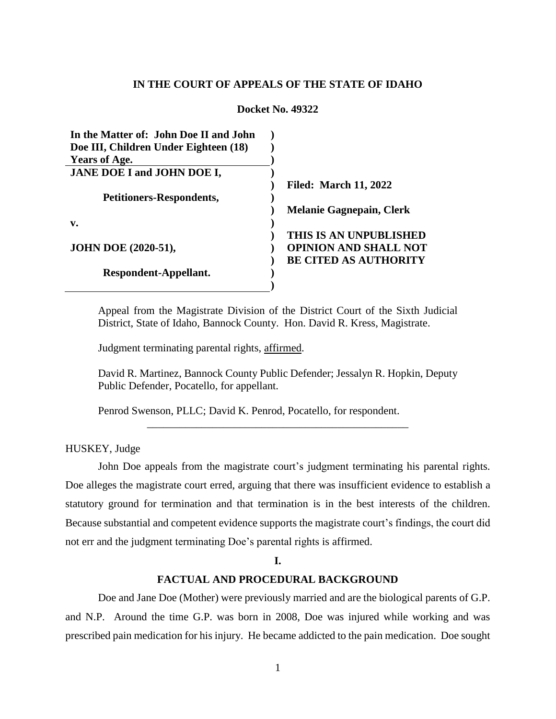## **IN THE COURT OF APPEALS OF THE STATE OF IDAHO**

### **Docket No. 49322**

| In the Matter of: John Doe II and John |                                 |
|----------------------------------------|---------------------------------|
| Doe III, Children Under Eighteen (18)  |                                 |
| <b>Years of Age.</b>                   |                                 |
| JANE DOE I and JOHN DOE I,             |                                 |
|                                        | <b>Filed: March 11, 2022</b>    |
| Petitioners-Respondents,               |                                 |
|                                        | <b>Melanie Gagnepain, Clerk</b> |
| v.                                     |                                 |
|                                        | THIS IS AN UNPUBLISHED          |
| <b>JOHN DOE (2020-51),</b>             | <b>OPINION AND SHALL NOT</b>    |
|                                        | <b>BE CITED AS AUTHORITY</b>    |
| Respondent-Appellant.                  |                                 |
|                                        |                                 |

Appeal from the Magistrate Division of the District Court of the Sixth Judicial District, State of Idaho, Bannock County. Hon. David R. Kress, Magistrate.

Judgment terminating parental rights, affirmed.

David R. Martinez, Bannock County Public Defender; Jessalyn R. Hopkin, Deputy Public Defender, Pocatello, for appellant.

\_\_\_\_\_\_\_\_\_\_\_\_\_\_\_\_\_\_\_\_\_\_\_\_\_\_\_\_\_\_\_\_\_\_\_\_\_\_\_\_\_\_\_\_\_\_\_\_

Penrod Swenson, PLLC; David K. Penrod, Pocatello, for respondent.

HUSKEY, Judge

John Doe appeals from the magistrate court's judgment terminating his parental rights. Doe alleges the magistrate court erred, arguing that there was insufficient evidence to establish a statutory ground for termination and that termination is in the best interests of the children. Because substantial and competent evidence supports the magistrate court's findings, the court did not err and the judgment terminating Doe's parental rights is affirmed.

## **I.**

# **FACTUAL AND PROCEDURAL BACKGROUND**

Doe and Jane Doe (Mother) were previously married and are the biological parents of G.P. and N.P. Around the time G.P. was born in 2008, Doe was injured while working and was prescribed pain medication for his injury. He became addicted to the pain medication. Doe sought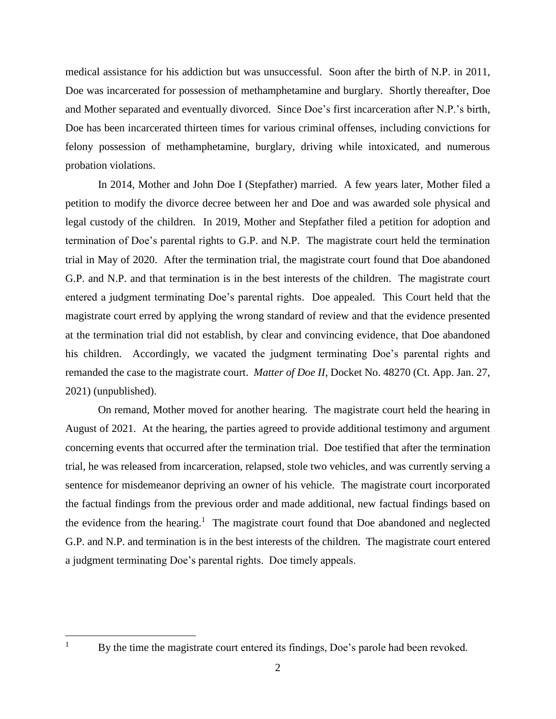medical assistance for his addiction but was unsuccessful. Soon after the birth of N.P. in 2011, Doe was incarcerated for possession of methamphetamine and burglary. Shortly thereafter, Doe and Mother separated and eventually divorced. Since Doe's first incarceration after N.P.'s birth, Doe has been incarcerated thirteen times for various criminal offenses, including convictions for felony possession of methamphetamine, burglary, driving while intoxicated, and numerous probation violations.

In 2014, Mother and John Doe I (Stepfather) married. A few years later, Mother filed a petition to modify the divorce decree between her and Doe and was awarded sole physical and legal custody of the children. In 2019, Mother and Stepfather filed a petition for adoption and termination of Doe's parental rights to G.P. and N.P. The magistrate court held the termination trial in May of 2020. After the termination trial, the magistrate court found that Doe abandoned G.P. and N.P. and that termination is in the best interests of the children. The magistrate court entered a judgment terminating Doe's parental rights. Doe appealed. This Court held that the magistrate court erred by applying the wrong standard of review and that the evidence presented at the termination trial did not establish, by clear and convincing evidence, that Doe abandoned his children. Accordingly, we vacated the judgment terminating Doe's parental rights and remanded the case to the magistrate court. *Matter of Doe II*, Docket No. 48270 (Ct. App. Jan. 27, 2021) (unpublished).

On remand, Mother moved for another hearing. The magistrate court held the hearing in August of 2021. At the hearing, the parties agreed to provide additional testimony and argument concerning events that occurred after the termination trial. Doe testified that after the termination trial, he was released from incarceration, relapsed, stole two vehicles, and was currently serving a sentence for misdemeanor depriving an owner of his vehicle. The magistrate court incorporated the factual findings from the previous order and made additional, new factual findings based on the evidence from the hearing.<sup>1</sup> The magistrate court found that Doe abandoned and neglected G.P. and N.P. and termination is in the best interests of the children. The magistrate court entered a judgment terminating Doe's parental rights. Doe timely appeals.

 $\mathbf{1}$ 

By the time the magistrate court entered its findings, Doe's parole had been revoked.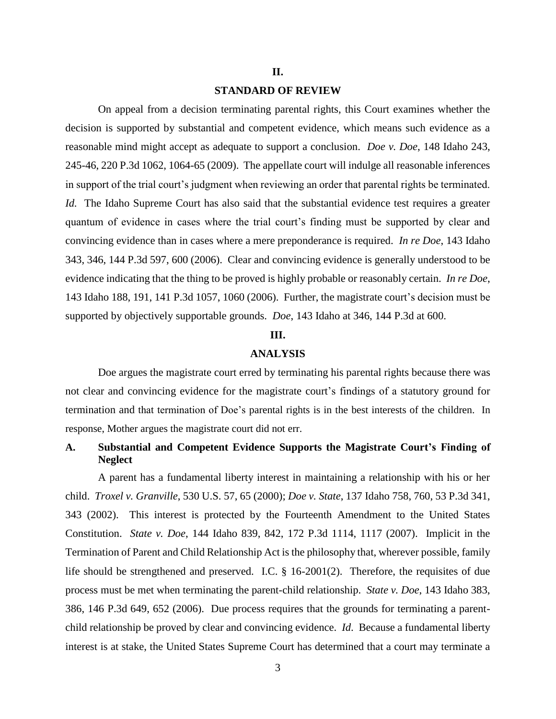#### **II.**

## **STANDARD OF REVIEW**

On appeal from a decision terminating parental rights, this Court examines whether the decision is supported by substantial and competent evidence, which means such evidence as a reasonable mind might accept as adequate to support a conclusion. *Doe v. Doe*, 148 Idaho 243, 245-46, 220 P.3d 1062, 1064-65 (2009). The appellate court will indulge all reasonable inferences in support of the trial court's judgment when reviewing an order that parental rights be terminated. *Id.* The Idaho Supreme Court has also said that the substantial evidence test requires a greater quantum of evidence in cases where the trial court's finding must be supported by clear and convincing evidence than in cases where a mere preponderance is required. *In re Doe*, 143 Idaho 343, 346, 144 P.3d 597, 600 (2006). Clear and convincing evidence is generally understood to be evidence indicating that the thing to be proved is highly probable or reasonably certain. *In re Doe*, 143 Idaho 188, 191, 141 P.3d 1057, 1060 (2006). Further, the magistrate court's decision must be supported by objectively supportable grounds. *Doe*, 143 Idaho at 346, 144 P.3d at 600.

## **III.**

### **ANALYSIS**

Doe argues the magistrate court erred by terminating his parental rights because there was not clear and convincing evidence for the magistrate court's findings of a statutory ground for termination and that termination of Doe's parental rights is in the best interests of the children. In response, Mother argues the magistrate court did not err.

## **A. Substantial and Competent Evidence Supports the Magistrate Court's Finding of Neglect**

A parent has a fundamental liberty interest in maintaining a relationship with his or her child. *Troxel v. Granville*, 530 U.S. 57, 65 (2000); *Doe v. State*, 137 Idaho 758, 760, 53 P.3d 341, 343 (2002). This interest is protected by the Fourteenth Amendment to the United States Constitution. *State v. Doe*, 144 Idaho 839, 842, 172 P.3d 1114, 1117 (2007). Implicit in the Termination of Parent and Child Relationship Act is the philosophy that, wherever possible, family life should be strengthened and preserved. I.C. § 16-2001(2). Therefore, the requisites of due process must be met when terminating the parent-child relationship. *State v. Doe*, 143 Idaho 383, 386, 146 P.3d 649, 652 (2006). Due process requires that the grounds for terminating a parentchild relationship be proved by clear and convincing evidence. *Id*. Because a fundamental liberty interest is at stake, the United States Supreme Court has determined that a court may terminate a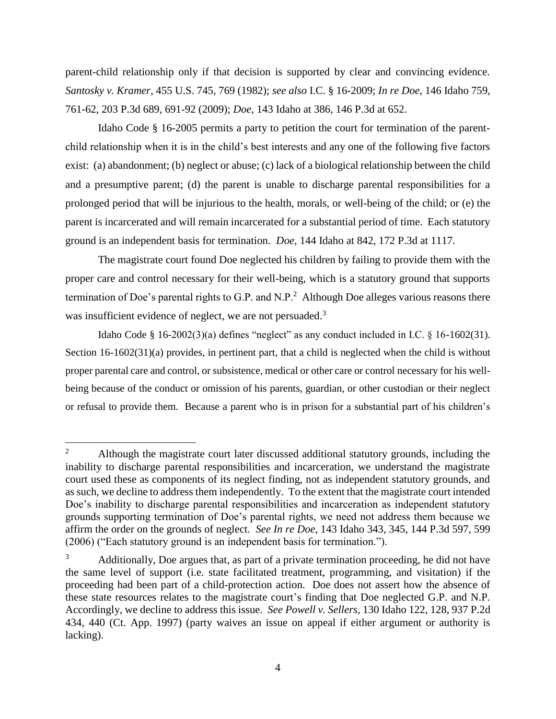parent-child relationship only if that decision is supported by clear and convincing evidence. *Santosky v. Kramer*, 455 U.S. 745, 769 (1982); *see also* I.C. § 16-2009; *In re Doe*, 146 Idaho 759, 761-62, 203 P.3d 689, 691-92 (2009); *Doe*, 143 Idaho at 386, 146 P.3d at 652.

Idaho Code § 16-2005 permits a party to petition the court for termination of the parentchild relationship when it is in the child's best interests and any one of the following five factors exist: (a) abandonment; (b) neglect or abuse; (c) lack of a biological relationship between the child and a presumptive parent; (d) the parent is unable to discharge parental responsibilities for a prolonged period that will be injurious to the health, morals, or well-being of the child; or (e) the parent is incarcerated and will remain incarcerated for a substantial period of time. Each statutory ground is an independent basis for termination. *Doe*, 144 Idaho at 842, 172 P.3d at 1117.

The magistrate court found Doe neglected his children by failing to provide them with the proper care and control necessary for their well-being, which is a statutory ground that supports termination of Doe's parental rights to G.P. and N.P.<sup>2</sup> Although Doe alleges various reasons there was insufficient evidence of neglect, we are not persuaded.<sup>3</sup>

Idaho Code § 16-2002(3)(a) defines "neglect" as any conduct included in I.C. § 16-1602(31). Section 16-1602(31)(a) provides, in pertinent part, that a child is neglected when the child is without proper parental care and control, or subsistence, medical or other care or control necessary for his wellbeing because of the conduct or omission of his parents, guardian, or other custodian or their neglect or refusal to provide them. Because a parent who is in prison for a substantial part of his children's

 $\overline{2}$ <sup>2</sup> Although the magistrate court later discussed additional statutory grounds, including the inability to discharge parental responsibilities and incarceration, we understand the magistrate court used these as components of its neglect finding, not as independent statutory grounds, and as such, we decline to address them independently. To the extent that the magistrate court intended Doe's inability to discharge parental responsibilities and incarceration as independent statutory grounds supporting termination of Doe's parental rights, we need not address them because we affirm the order on the grounds of neglect. *See In re Doe*, 143 Idaho 343, 345, 144 P.3d 597, 599 (2006) ("Each statutory ground is an independent basis for termination.").

 $3$  Additionally, Doe argues that, as part of a private termination proceeding, he did not have the same level of support (i.e. state facilitated treatment, programming, and visitation) if the proceeding had been part of a child-protection action. Doe does not assert how the absence of these state resources relates to the magistrate court's finding that Doe neglected G.P. and N.P. Accordingly, we decline to address this issue. *See Powell v. Sellers*, 130 Idaho 122, 128, 937 P.2d 434, 440 (Ct. App. 1997) (party waives an issue on appeal if either argument or authority is lacking).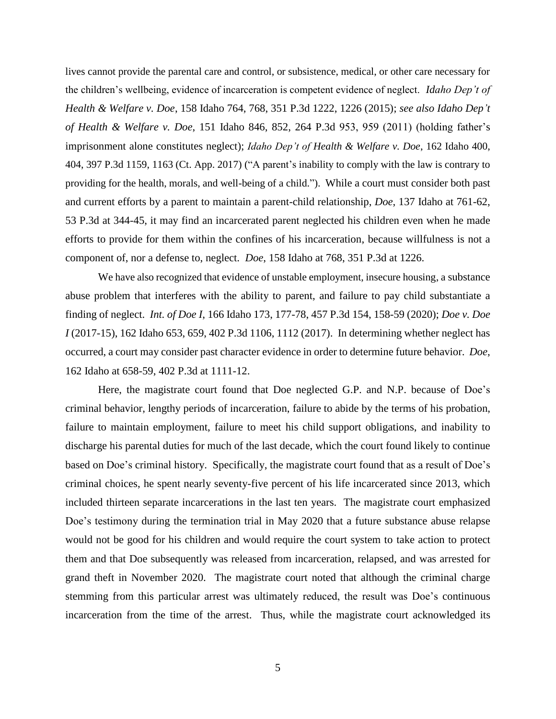lives cannot provide the parental care and control, or subsistence, medical, or other care necessary for the children's wellbeing, evidence of incarceration is competent evidence of neglect. *Idaho Dep't of Health & Welfare v. Doe*, 158 Idaho 764, 768, 351 P.3d 1222, 1226 (2015); *see also Idaho Dep't of Health & Welfare v. Doe*, 151 Idaho 846, 852, 264 P.3d 953, 959 (2011) (holding father's imprisonment alone constitutes neglect); *Idaho Dep't of Health & Welfare v. Doe*, 162 Idaho 400, 404, 397 P.3d 1159, 1163 (Ct. App. 2017) ("A parent's inability to comply with the law is contrary to providing for the health, morals, and well-being of a child."). While a court must consider both past and current efforts by a parent to maintain a parent-child relationship, *Doe*, 137 Idaho at 761-62, 53 P.3d at 344-45, it may find an incarcerated parent neglected his children even when he made efforts to provide for them within the confines of his incarceration, because willfulness is not a component of, nor a defense to, neglect. *Doe*, 158 Idaho at 768, 351 P.3d at 1226.

We have also recognized that evidence of unstable employment, insecure housing, a substance abuse problem that interferes with the ability to parent, and failure to pay child substantiate a finding of neglect. *Int. of Doe I*, 166 Idaho 173, 177-78, 457 P.3d 154, 158-59 (2020); *Doe v. Doe I* (2017-15), 162 Idaho 653, 659, 402 P.3d 1106, 1112 (2017). In determining whether neglect has occurred, a court may consider past character evidence in order to determine future behavior. *Doe*, 162 Idaho at 658-59, 402 P.3d at 1111-12.

Here, the magistrate court found that Doe neglected G.P. and N.P. because of Doe's criminal behavior, lengthy periods of incarceration, failure to abide by the terms of his probation, failure to maintain employment, failure to meet his child support obligations, and inability to discharge his parental duties for much of the last decade, which the court found likely to continue based on Doe's criminal history. Specifically, the magistrate court found that as a result of Doe's criminal choices, he spent nearly seventy-five percent of his life incarcerated since 2013, which included thirteen separate incarcerations in the last ten years. The magistrate court emphasized Doe's testimony during the termination trial in May 2020 that a future substance abuse relapse would not be good for his children and would require the court system to take action to protect them and that Doe subsequently was released from incarceration, relapsed, and was arrested for grand theft in November 2020. The magistrate court noted that although the criminal charge stemming from this particular arrest was ultimately reduced, the result was Doe's continuous incarceration from the time of the arrest. Thus, while the magistrate court acknowledged its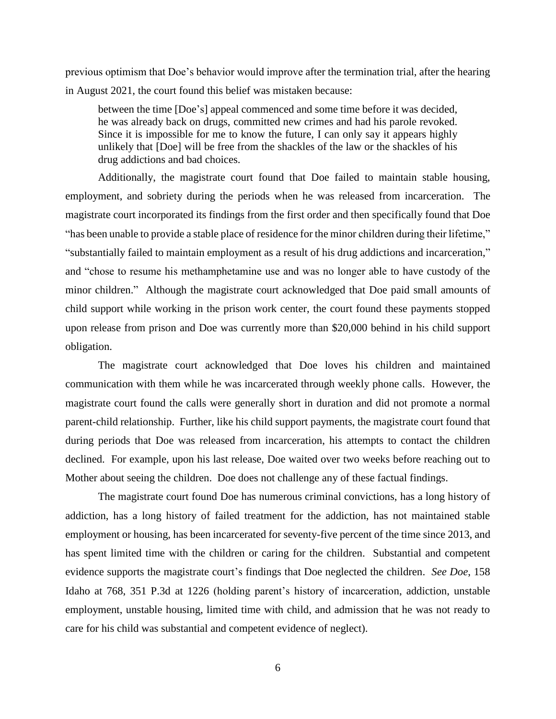previous optimism that Doe's behavior would improve after the termination trial, after the hearing in August 2021, the court found this belief was mistaken because:

between the time [Doe's] appeal commenced and some time before it was decided, he was already back on drugs, committed new crimes and had his parole revoked. Since it is impossible for me to know the future, I can only say it appears highly unlikely that [Doe] will be free from the shackles of the law or the shackles of his drug addictions and bad choices.

Additionally, the magistrate court found that Doe failed to maintain stable housing, employment, and sobriety during the periods when he was released from incarceration. The magistrate court incorporated its findings from the first order and then specifically found that Doe "has been unable to provide a stable place of residence for the minor children during their lifetime," "substantially failed to maintain employment as a result of his drug addictions and incarceration," and "chose to resume his methamphetamine use and was no longer able to have custody of the minor children." Although the magistrate court acknowledged that Doe paid small amounts of child support while working in the prison work center, the court found these payments stopped upon release from prison and Doe was currently more than \$20,000 behind in his child support obligation.

The magistrate court acknowledged that Doe loves his children and maintained communication with them while he was incarcerated through weekly phone calls. However, the magistrate court found the calls were generally short in duration and did not promote a normal parent-child relationship. Further, like his child support payments, the magistrate court found that during periods that Doe was released from incarceration, his attempts to contact the children declined. For example, upon his last release, Doe waited over two weeks before reaching out to Mother about seeing the children. Doe does not challenge any of these factual findings.

The magistrate court found Doe has numerous criminal convictions, has a long history of addiction, has a long history of failed treatment for the addiction, has not maintained stable employment or housing, has been incarcerated for seventy-five percent of the time since 2013, and has spent limited time with the children or caring for the children. Substantial and competent evidence supports the magistrate court's findings that Doe neglected the children. *See Doe*, 158 Idaho at 768, 351 P.3d at 1226 (holding parent's history of incarceration, addiction, unstable employment, unstable housing, limited time with child, and admission that he was not ready to care for his child was substantial and competent evidence of neglect).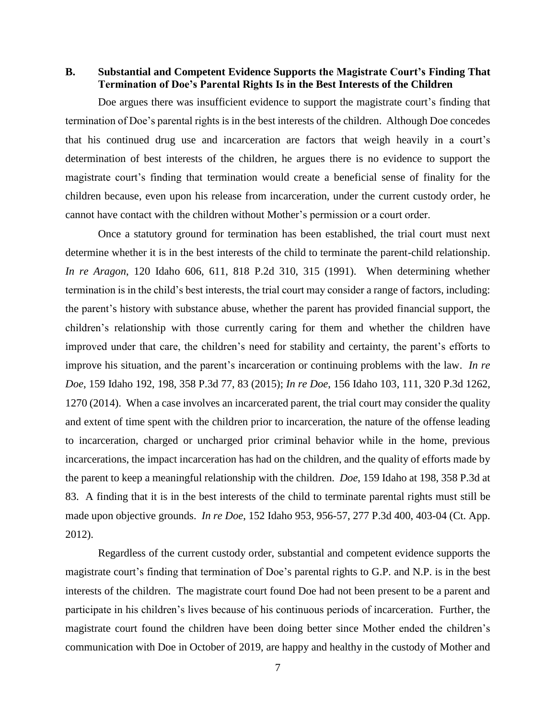## **B. Substantial and Competent Evidence Supports the Magistrate Court's Finding That Termination of Doe's Parental Rights Is in the Best Interests of the Children**

Doe argues there was insufficient evidence to support the magistrate court's finding that termination of Doe's parental rights is in the best interests of the children. Although Doe concedes that his continued drug use and incarceration are factors that weigh heavily in a court's determination of best interests of the children, he argues there is no evidence to support the magistrate court's finding that termination would create a beneficial sense of finality for the children because, even upon his release from incarceration, under the current custody order, he cannot have contact with the children without Mother's permission or a court order.

Once a statutory ground for termination has been established, the trial court must next determine whether it is in the best interests of the child to terminate the parent-child relationship. *In re Aragon*, 120 Idaho 606, 611, 818 P.2d 310, 315 (1991). When determining whether termination is in the child's best interests, the trial court may consider a range of factors, including: the parent's history with substance abuse, whether the parent has provided financial support, the children's relationship with those currently caring for them and whether the children have improved under that care, the children's need for stability and certainty, the parent's efforts to improve his situation, and the parent's incarceration or continuing problems with the law. *In re Doe*, 159 Idaho 192, 198, 358 P.3d 77, 83 (2015); *In re Doe*, 156 Idaho 103, 111, 320 P.3d 1262, 1270 (2014). When a case involves an incarcerated parent, the trial court may consider the quality and extent of time spent with the children prior to incarceration, the nature of the offense leading to incarceration, charged or uncharged prior criminal behavior while in the home, previous incarcerations, the impact incarceration has had on the children, and the quality of efforts made by the parent to keep a meaningful relationship with the children. *Doe*, 159 Idaho at 198, 358 P.3d at 83. A finding that it is in the best interests of the child to terminate parental rights must still be made upon objective grounds. *In re Doe*, 152 Idaho 953, 956-57, 277 P.3d 400, 403-04 (Ct. App. 2012).

Regardless of the current custody order, substantial and competent evidence supports the magistrate court's finding that termination of Doe's parental rights to G.P. and N.P. is in the best interests of the children. The magistrate court found Doe had not been present to be a parent and participate in his children's lives because of his continuous periods of incarceration. Further, the magistrate court found the children have been doing better since Mother ended the children's communication with Doe in October of 2019, are happy and healthy in the custody of Mother and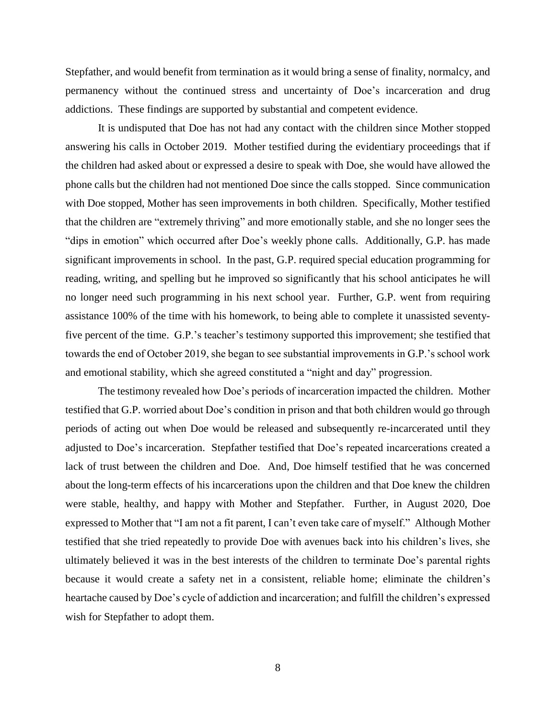Stepfather, and would benefit from termination as it would bring a sense of finality, normalcy, and permanency without the continued stress and uncertainty of Doe's incarceration and drug addictions. These findings are supported by substantial and competent evidence.

It is undisputed that Doe has not had any contact with the children since Mother stopped answering his calls in October 2019. Mother testified during the evidentiary proceedings that if the children had asked about or expressed a desire to speak with Doe, she would have allowed the phone calls but the children had not mentioned Doe since the calls stopped. Since communication with Doe stopped, Mother has seen improvements in both children. Specifically, Mother testified that the children are "extremely thriving" and more emotionally stable, and she no longer sees the "dips in emotion" which occurred after Doe's weekly phone calls. Additionally, G.P. has made significant improvements in school. In the past, G.P. required special education programming for reading, writing, and spelling but he improved so significantly that his school anticipates he will no longer need such programming in his next school year. Further, G.P. went from requiring assistance 100% of the time with his homework, to being able to complete it unassisted seventyfive percent of the time. G.P.'s teacher's testimony supported this improvement; she testified that towards the end of October 2019, she began to see substantial improvements in G.P.'s school work and emotional stability, which she agreed constituted a "night and day" progression.

The testimony revealed how Doe's periods of incarceration impacted the children. Mother testified that G.P. worried about Doe's condition in prison and that both children would go through periods of acting out when Doe would be released and subsequently re-incarcerated until they adjusted to Doe's incarceration. Stepfather testified that Doe's repeated incarcerations created a lack of trust between the children and Doe. And, Doe himself testified that he was concerned about the long-term effects of his incarcerations upon the children and that Doe knew the children were stable, healthy, and happy with Mother and Stepfather. Further, in August 2020, Doe expressed to Mother that "I am not a fit parent, I can't even take care of myself." Although Mother testified that she tried repeatedly to provide Doe with avenues back into his children's lives, she ultimately believed it was in the best interests of the children to terminate Doe's parental rights because it would create a safety net in a consistent, reliable home; eliminate the children's heartache caused by Doe's cycle of addiction and incarceration; and fulfill the children's expressed wish for Stepfather to adopt them.